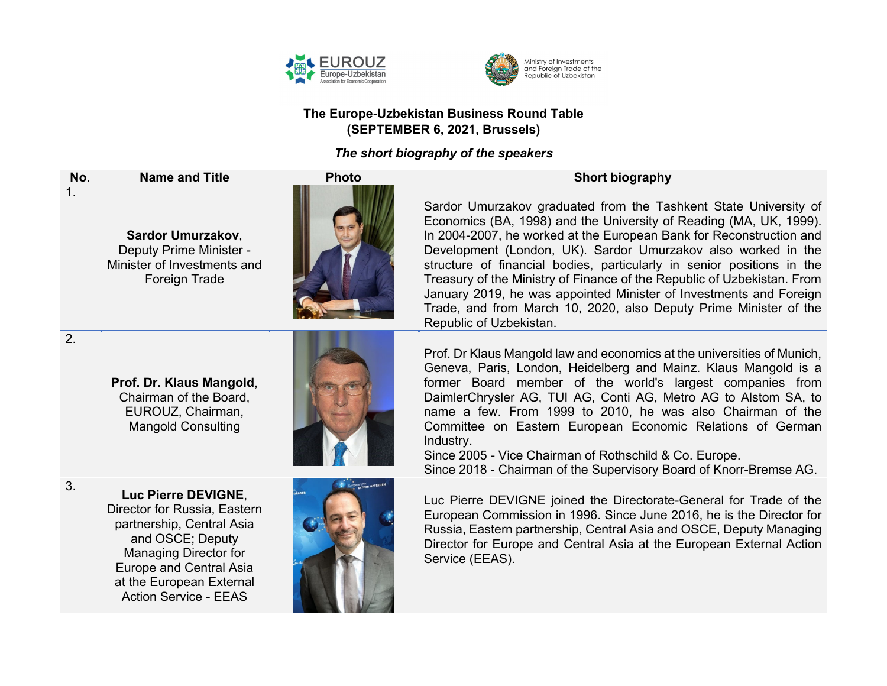



## **The Europe-Uzbekistan Business Round Table (SEPTEMBER 6, 2021, Brussels)**

## *The short biography of the speakers*

**No. Name and Title Photo Short biography** 1.

**Sardor Umurzakov**, Deputy Prime Minister - Minister of Investments and Foreign Trade



Sardor Umurzakov graduated from the Tashkent State University of Economics (BA, 1998) and the University of Reading (MA, UK, 1999). In 2004-2007, he worked at the European Bank for Reconstruction and Development (London, UK). Sardor Umurzakov also worked in the structure of financial bodies, particularly in senior positions in the Treasury of the Ministry of Finance of the Republic of Uzbekistan. From January 2019, he was appointed Minister of Investments and Foreign Trade, and from March 10, 2020, also Deputy Prime Minister of the Republic of Uzbekistan.

Prof. Dr Klaus Mangold law and economics at the universities of Munich, Geneva, Paris, London, Heidelberg and Mainz. Klaus Mangold is a former Board member of the world's largest companies from DaimlerChrysler AG, TUI AG, Conti AG, Metro AG to Alstom SA, to name a few. From 1999 to 2010, he was also Chairman of the Committee on Eastern European Economic Relations of German Industry.

Since 2005 - Vice Chairman of Rothschild & Co. Europe. Since 2018 - Chairman of the Supervisory Board of Knorr-Bremse AG.

Luc Pierre DEVIGNE joined the Directorate-General for Trade of the European Commission in 1996. Since June 2016, he is the Director for Russia, Eastern partnership, Central Asia and OSCE, Deputy Managing Director for Europe and Central Asia at the European External Action Service (EEAS).

2.

**Prof. Dr. Klaus Mangold**, Chairman of the Board, EUROUZ, Chairman, Mangold Consulting



3. **Luc Pierre DEVIGNE**, Director for Russia, Eastern partnership, Central Asia and OSCE; Deputy Managing Director for Europe and Central Asia at the European External Action Service - EEAS

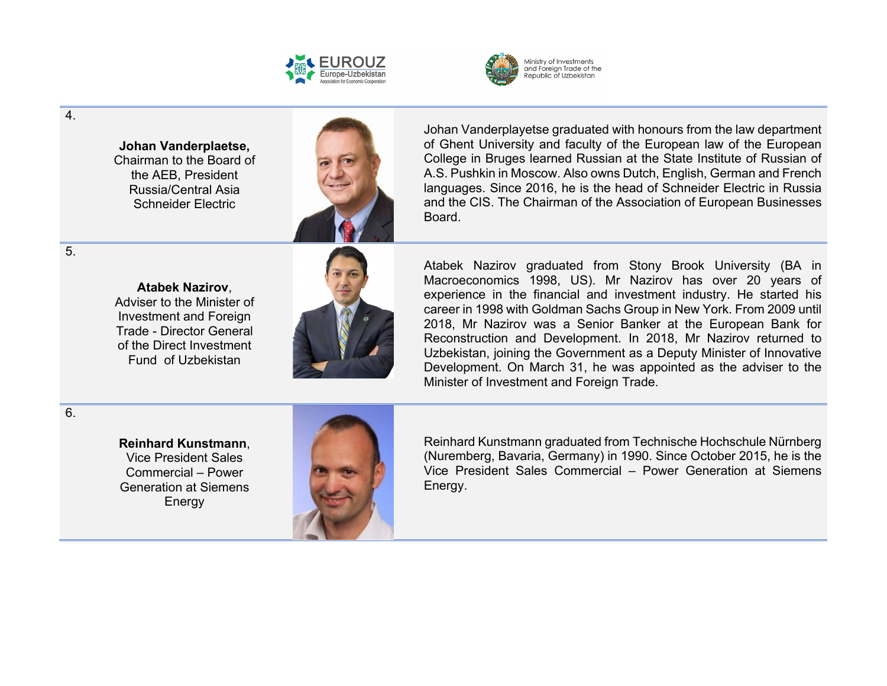



4.

**Johan Vanderplaetse,**  Chairman to the Board of the AEB, President Russia/Central Asia Schneider Electric



**Atabek Nazirov**, Adviser to the Minister of Investment and Foreign Trade - Director General of the Direct Investment Fund of Uzbekistan



Johan Vanderplayetse graduated with honours from the law department of Ghent University and faculty of the European law of the European College in Bruges learned Russian at the State Institute of Russian of A.S. Pushkin in Moscow. Also owns Dutch, English, German and French languages. Since 2016, he is the head of Schneider Electric in Russia and the CIS. The Chairman of the Association of European Businesses Board.

Atabek Nazirov graduated from Stony Brook University (BA in Macroeconomics 1998, US). Mr Nazirov has over 20 years of experience in the financial and investment industry. He started his career in 1998 with Goldman Sachs Group in New York. From 2009 until 2018, Mr Nazirov was a Senior Banker at the European Bank for Reconstruction and Development. In 2018, Mr Nazirov returned to Uzbekistan, joining the Government as a Deputy Minister of Innovative Development. On March 31, he was appointed as the adviser to the Minister of Investment and Foreign Trade.

6.

**Reinhard Kunstmann**, Vice President Sales Commercial – Power Generation at Siemens **Energy** 



Reinhard Kunstmann graduated from Technische Hochschule Nürnberg (Nuremberg, Bavaria, Germany) in 1990. Since October 2015, he is the Vice President Sales Commercial – Power Generation at Siemens Energy.

5.